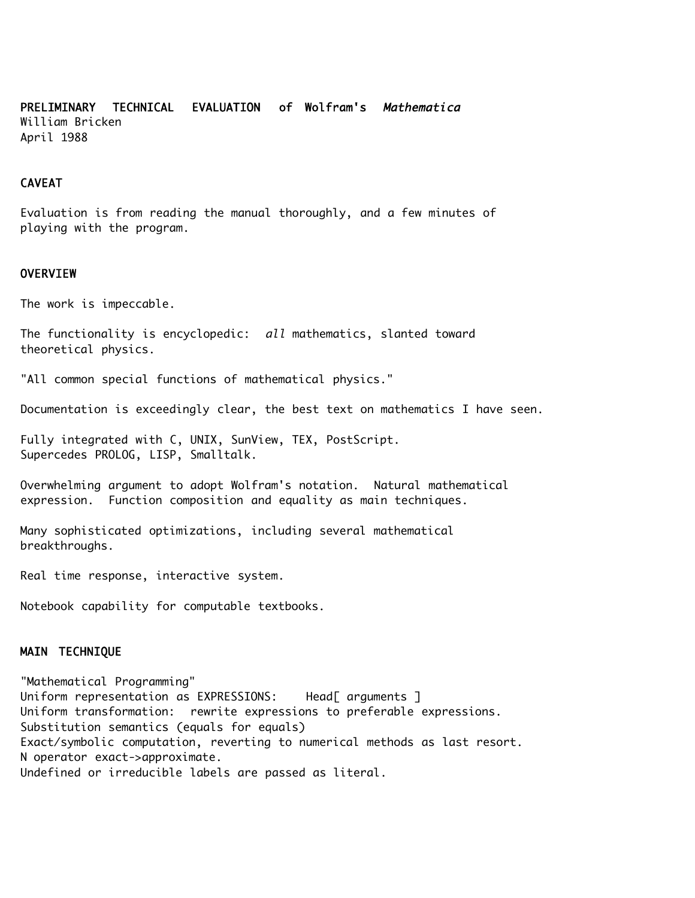PRELIMINARY TECHNICAL EVALUATION of Wolfram's Mathematica William Bricken April 1988

## CAVEAT

Evaluation is from reading the manual thoroughly, and a few minutes of playing with the program.

### **OVERVIEW**

The work is impeccable.

The functionality is encyclopedic: all mathematics, slanted toward theoretical physics.

"All common special functions of mathematical physics."

Documentation is exceedingly clear, the best text on mathematics I have seen.

Fully integrated with C, UNIX, SunView, TEX, PostScript. Supercedes PROLOG, LISP, Smalltalk.

Overwhelming argument to adopt Wolfram's notation. Natural mathematical expression. Function composition and equality as main techniques.

Many sophisticated optimizations, including several mathematical breakthroughs.

Real time response, interactive system.

Notebook capability for computable textbooks.

## MAIN TECHNIQUE

"Mathematical Programming" Uniform representation as EXPRESSIONS: Head[ arguments ] Uniform transformation: rewrite expressions to preferable expressions. Substitution semantics (equals for equals) Exact/symbolic computation, reverting to numerical methods as last resort. N operator exact->approximate. Undefined or irreducible labels are passed as literal.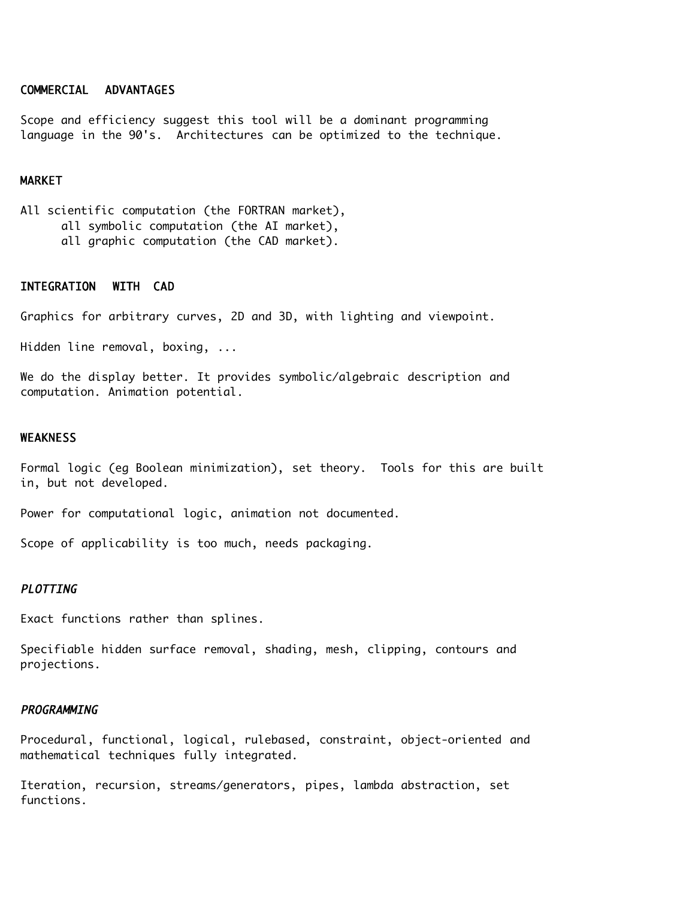### COMMERCIAL ADVANTAGES

Scope and efficiency suggest this tool will be a dominant programming language in the 90's. Architectures can be optimized to the technique.

### MARKET

All scientific computation (the FORTRAN market), all symbolic computation (the AI market), all graphic computation (the CAD market).

# INTEGRATION WITH CAD

Graphics for arbitrary curves, 2D and 3D, with lighting and viewpoint.

Hidden line removal, boxing, ...

We do the display better. It provides symbolic/algebraic description and computation. Animation potential.

#### WEAKNESS

Formal logic (eg Boolean minimization), set theory. Tools for this are built in, but not developed.

Power for computational logic, animation not documented.

Scope of applicability is too much, needs packaging.

# PLOTTING

Exact functions rather than splines.

Specifiable hidden surface removal, shading, mesh, clipping, contours and projections.

### **PROGRAMMING**

Procedural, functional, logical, rulebased, constraint, object-oriented and mathematical techniques fully integrated.

Iteration, recursion, streams/generators, pipes, lambda abstraction, set functions.